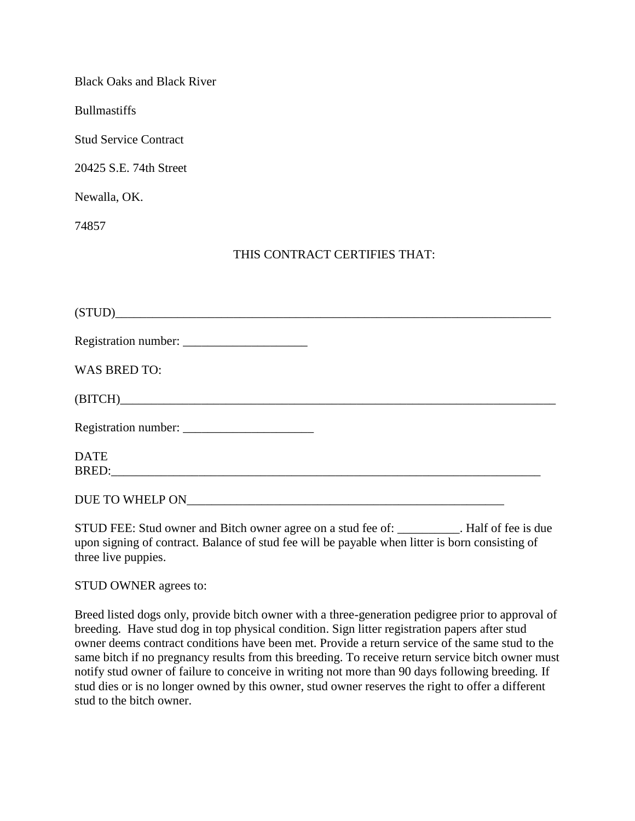Black Oaks and Black River

Bullmastiffs

Stud Service Contract

20425 S.E. 74th Street

Newalla, OK.

74857

## THIS CONTRACT CERTIFIES THAT:

| (STUD)              |  |
|---------------------|--|
|                     |  |
| <b>WAS BRED TO:</b> |  |
|                     |  |
|                     |  |
| <b>DATE</b>         |  |
| DUE TO WHELP ON     |  |

STUD FEE: Stud owner and Bitch owner agree on a stud fee of: \_\_\_\_\_\_\_\_\_\_. Half of fee is due upon signing of contract. Balance of stud fee will be payable when litter is born consisting of three live puppies.

STUD OWNER agrees to:

Breed listed dogs only, provide bitch owner with a three-generation pedigree prior to approval of breeding. Have stud dog in top physical condition. Sign litter registration papers after stud owner deems contract conditions have been met. Provide a return service of the same stud to the same bitch if no pregnancy results from this breeding. To receive return service bitch owner must notify stud owner of failure to conceive in writing not more than 90 days following breeding. If stud dies or is no longer owned by this owner, stud owner reserves the right to offer a different stud to the bitch owner.